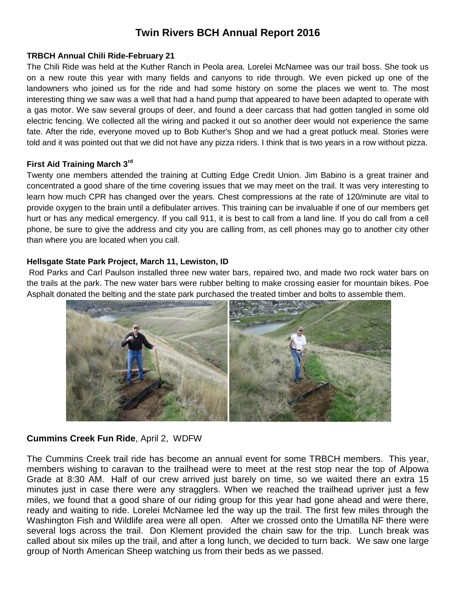# **Twin Rivers BCH Annual Report 2016**

#### **TRBCH Annual Chili Ride-February 21**

The Chili Ride was held at the Kuther Ranch in Peola area. Lorelei McNamee was our trail boss. She took us on a new route this year with many fields and canyons to ride through. We even picked up one of the landowners who joined us for the ride and had some history on some the places we went to. The most interesting thing we saw was a well that had a hand pump that appeared to have been adapted to operate with a gas motor. We saw several groups of deer, and found a deer carcass that had gotten tangled in some old electric fencing. We collected all the wiring and packed it out so another deer would not experience the same fate. After the ride, everyone moved up to Bob Kuther's Shop and we had a great potluck meal. Stories were told and it was pointed out that we did not have any pizza riders. I think that is two years in a row without pizza.

#### **First Aid Training March 3rd**

Twenty one members attended the training at Cutting Edge Credit Union. Jim Babino is a great trainer and concentrated a good share of the time covering issues that we may meet on the trail. It was very interesting to learn how much CPR has changed over the years. Chest compressions at the rate of 120/minute are vital to provide oxygen to the brain until a defibulater arrives. This training can be invaluable if one of our members get hurt or has any medical emergency. If you call 911, it is best to call from a land line. If you do call from a cell phone, be sure to give the address and city you are calling from, as cell phones may go to another city other than where you are located when you call.

#### **Hellsgate State Park Project, March 11, Lewiston, ID**

Rod Parks and Carl Paulson installed three new water bars, repaired two, and made two rock water bars on the trails at the park. The new water bars were rubber belting to make crossing easier for mountain bikes. Poe Asphalt donated the belting and the state park purchased the treated timber and bolts to assemble them.



## **Cummins Creek Fun Ride**, April 2, WDFW

The Cummins Creek trail ride has become an annual event for some TRBCH members. This year, members wishing to caravan to the trailhead were to meet at the rest stop near the top of Alpowa Grade at 8:30 AM. Half of our crew arrived just barely on time, so we waited there an extra 15 minutes just in case there were any stragglers. When we reached the trailhead upriver just a few miles, we found that a good share of our riding group for this year had gone ahead and were there, ready and waiting to ride. Lorelei McNamee led the way up the trail. The first few miles through the Washington Fish and Wildlife area were all open. After we crossed onto the Umatilla NF there were several logs across the trail. Don Klement provided the chain saw for the trip. Lunch break was called about six miles up the trail, and after a long lunch, we decided to turn back. We saw one large group of North American Sheep watching us from their beds as we passed.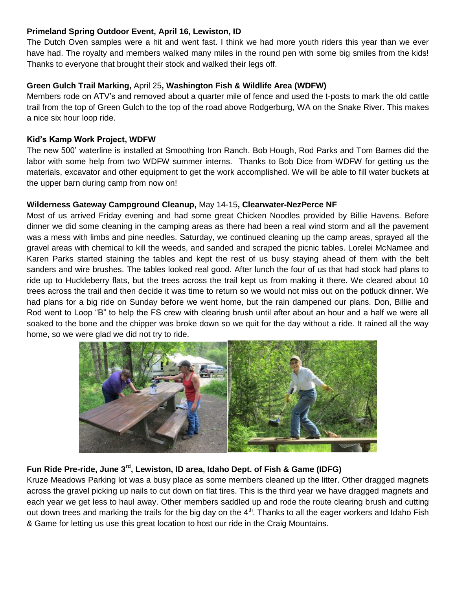## **Primeland Spring Outdoor Event, April 16, Lewiston, ID**

The Dutch Oven samples were a hit and went fast. I think we had more youth riders this year than we ever have had. The royalty and members walked many miles in the round pen with some big smiles from the kids! Thanks to everyone that brought their stock and walked their legs off.

## **Green Gulch Trail Marking,** April 25**, Washington Fish & Wildlife Area (WDFW)**

Members rode on ATV's and removed about a quarter mile of fence and used the t-posts to mark the old cattle trail from the top of Green Gulch to the top of the road above Rodgerburg, WA on the Snake River. This makes a nice six hour loop ride.

## **Kid's Kamp Work Project, WDFW**

The new 500' waterline is installed at Smoothing Iron Ranch. Bob Hough, Rod Parks and Tom Barnes did the labor with some help from two WDFW summer interns. Thanks to Bob Dice from WDFW for getting us the materials, excavator and other equipment to get the work accomplished. We will be able to fill water buckets at the upper barn during camp from now on!

## **Wilderness Gateway Campground Cleanup,** May 14-15**, Clearwater-NezPerce NF**

Most of us arrived Friday evening and had some great Chicken Noodles provided by Billie Havens. Before dinner we did some cleaning in the camping areas as there had been a real wind storm and all the pavement was a mess with limbs and pine needles. Saturday, we continued cleaning up the camp areas, sprayed all the gravel areas with chemical to kill the weeds, and sanded and scraped the picnic tables. Lorelei McNamee and Karen Parks started staining the tables and kept the rest of us busy staying ahead of them with the belt sanders and wire brushes. The tables looked real good. After lunch the four of us that had stock had plans to ride up to Huckleberry flats, but the trees across the trail kept us from making it there. We cleared about 10 trees across the trail and then decide it was time to return so we would not miss out on the potluck dinner. We had plans for a big ride on Sunday before we went home, but the rain dampened our plans. Don, Billie and Rod went to Loop "B" to help the FS crew with clearing brush until after about an hour and a half we were all soaked to the bone and the chipper was broke down so we quit for the day without a ride. It rained all the way home, so we were glad we did not try to ride.



## **Fun Ride Pre-ride, June 3rd, Lewiston, ID area, Idaho Dept. of Fish & Game (IDFG)**

Kruze Meadows Parking lot was a busy place as some members cleaned up the litter. Other dragged magnets across the gravel picking up nails to cut down on flat tires. This is the third year we have dragged magnets and each year we get less to haul away. Other members saddled up and rode the route clearing brush and cutting out down trees and marking the trails for the big day on the  $4<sup>th</sup>$ . Thanks to all the eager workers and Idaho Fish & Game for letting us use this great location to host our ride in the Craig Mountains.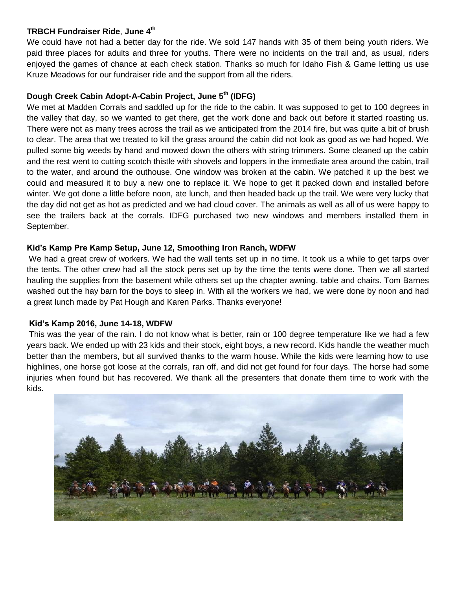#### **TRBCH Fundraiser Ride**, **June 4th**

We could have not had a better day for the ride. We sold 147 hands with 35 of them being youth riders. We paid three places for adults and three for youths. There were no incidents on the trail and, as usual, riders enjoyed the games of chance at each check station. Thanks so much for Idaho Fish & Game letting us use Kruze Meadows for our fundraiser ride and the support from all the riders.

## **Dough Creek Cabin Adopt-A-Cabin Project, June 5th (IDFG)**

We met at Madden Corrals and saddled up for the ride to the cabin. It was supposed to get to 100 degrees in the valley that day, so we wanted to get there, get the work done and back out before it started roasting us. There were not as many trees across the trail as we anticipated from the 2014 fire, but was quite a bit of brush to clear. The area that we treated to kill the grass around the cabin did not look as good as we had hoped. We pulled some big weeds by hand and mowed down the others with string trimmers. Some cleaned up the cabin and the rest went to cutting scotch thistle with shovels and loppers in the immediate area around the cabin, trail to the water, and around the outhouse. One window was broken at the cabin. We patched it up the best we could and measured it to buy a new one to replace it. We hope to get it packed down and installed before winter. We got done a little before noon, ate lunch, and then headed back up the trail. We were very lucky that the day did not get as hot as predicted and we had cloud cover. The animals as well as all of us were happy to see the trailers back at the corrals. IDFG purchased two new windows and members installed them in September.

## **Kid's Kamp Pre Kamp Setup, June 12, Smoothing Iron Ranch, WDFW**

We had a great crew of workers. We had the wall tents set up in no time. It took us a while to get tarps over the tents. The other crew had all the stock pens set up by the time the tents were done. Then we all started hauling the supplies from the basement while others set up the chapter awning, table and chairs. Tom Barnes washed out the hay barn for the boys to sleep in. With all the workers we had, we were done by noon and had a great lunch made by Pat Hough and Karen Parks. Thanks everyone!

## **Kid's Kamp 2016, June 14-18, WDFW**

This was the year of the rain. I do not know what is better, rain or 100 degree temperature like we had a few years back. We ended up with 23 kids and their stock, eight boys, a new record. Kids handle the weather much better than the members, but all survived thanks to the warm house. While the kids were learning how to use highlines, one horse got loose at the corrals, ran off, and did not get found for four days. The horse had some injuries when found but has recovered. We thank all the presenters that donate them time to work with the kids.

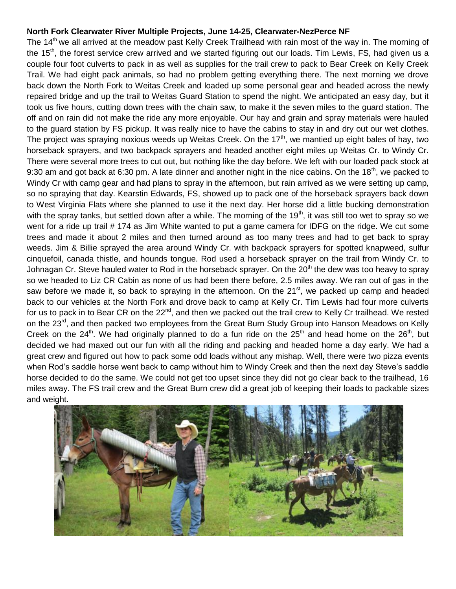#### **North Fork Clearwater River Multiple Projects, June 14-25, Clearwater-NezPerce NF**

The 14<sup>th</sup> we all arrived at the meadow past Kelly Creek Trailhead with rain most of the way in. The morning of the 15<sup>th</sup>, the forest service crew arrived and we started figuring out our loads. Tim Lewis, FS, had given us a couple four foot culverts to pack in as well as supplies for the trail crew to pack to Bear Creek on Kelly Creek Trail. We had eight pack animals, so had no problem getting everything there. The next morning we drove back down the North Fork to Weitas Creek and loaded up some personal gear and headed across the newly repaired bridge and up the trail to Weitas Guard Station to spend the night. We anticipated an easy day, but it took us five hours, cutting down trees with the chain saw, to make it the seven miles to the guard station. The off and on rain did not make the ride any more enjoyable. Our hay and grain and spray materials were hauled to the guard station by FS pickup. It was really nice to have the cabins to stay in and dry out our wet clothes. The project was spraying noxious weeds up Weitas Creek. On the  $17<sup>th</sup>$ , we mantied up eight bales of hay, two horseback sprayers, and two backpack sprayers and headed another eight miles up Weitas Cr. to Windy Cr. There were several more trees to cut out, but nothing like the day before. We left with our loaded pack stock at 9:30 am and got back at 6:30 pm. A late dinner and another night in the nice cabins. On the 18<sup>th</sup>, we packed to Windy Cr with camp gear and had plans to spray in the afternoon, but rain arrived as we were setting up camp, so no spraying that day. Kearstin Edwards, FS, showed up to pack one of the horseback sprayers back down to West Virginia Flats where she planned to use it the next day. Her horse did a little bucking demonstration with the spray tanks, but settled down after a while. The morning of the 19<sup>th</sup>, it was still too wet to spray so we went for a ride up trail # 174 as Jim White wanted to put a game camera for IDFG on the ridge. We cut some trees and made it about 2 miles and then turned around as too many trees and had to get back to spray weeds. Jim & Billie sprayed the area around Windy Cr. with backpack sprayers for spotted knapweed, sulfur cinquefoil, canada thistle, and hounds tongue. Rod used a horseback sprayer on the trail from Windy Cr. to Johnagan Cr. Steve hauled water to Rod in the horseback sprayer. On the 20<sup>th</sup> the dew was too heavy to spray so we headed to Liz CR Cabin as none of us had been there before, 2.5 miles away. We ran out of gas in the saw before we made it, so back to spraying in the afternoon. On the 21<sup>st</sup>, we packed up camp and headed back to our vehicles at the North Fork and drove back to camp at Kelly Cr. Tim Lewis had four more culverts for us to pack in to Bear CR on the 22<sup>nd</sup>, and then we packed out the trail crew to Kelly Cr trailhead. We rested on the 23<sup>rd</sup>, and then packed two employees from the Great Burn Study Group into Hanson Meadows on Kelly Creek on the 24<sup>th</sup>. We had originally planned to do a fun ride on the 25<sup>th</sup> and head home on the 26<sup>th</sup>, but decided we had maxed out our fun with all the riding and packing and headed home a day early. We had a great crew and figured out how to pack some odd loads without any mishap. Well, there were two pizza events when Rod's saddle horse went back to camp without him to Windy Creek and then the next day Steve's saddle horse decided to do the same. We could not get too upset since they did not go clear back to the trailhead, 16 miles away. The FS trail crew and the Great Burn crew did a great job of keeping their loads to packable sizes and weight.

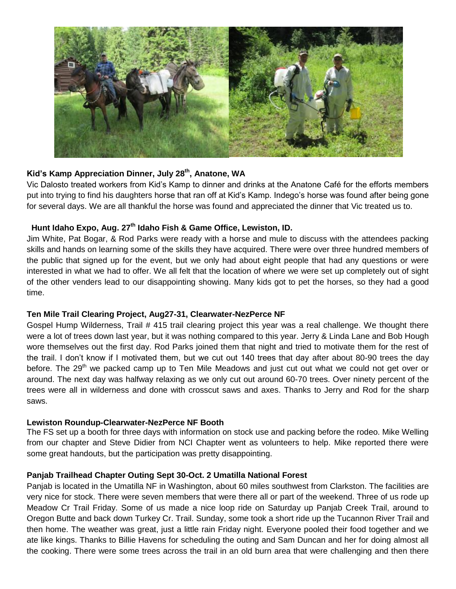

## **Kid's Kamp Appreciation Dinner, July 28th, Anatone, WA**

Vic Dalosto treated workers from Kid's Kamp to dinner and drinks at the Anatone Café for the efforts members put into trying to find his daughters horse that ran off at Kid's Kamp. Indego's horse was found after being gone for several days. We are all thankful the horse was found and appreciated the dinner that Vic treated us to.

## **Hunt Idaho Expo, Aug. 27th Idaho Fish & Game Office, Lewiston, ID.**

Jim White, Pat Bogar, & Rod Parks were ready with a horse and mule to discuss with the attendees packing skills and hands on learning some of the skills they have acquired. There were over three hundred members of the public that signed up for the event, but we only had about eight people that had any questions or were interested in what we had to offer. We all felt that the location of where we were set up completely out of sight of the other venders lead to our disappointing showing. Many kids got to pet the horses, so they had a good time.

## **Ten Mile Trail Clearing Project, Aug27-31, Clearwater-NezPerce NF**

Gospel Hump Wilderness, Trail # 415 trail clearing project this year was a real challenge. We thought there were a lot of trees down last year, but it was nothing compared to this year. Jerry & Linda Lane and Bob Hough wore themselves out the first day. Rod Parks joined them that night and tried to motivate them for the rest of the trail. I don't know if I motivated them, but we cut out 140 trees that day after about 80-90 trees the day before. The 29<sup>th</sup> we packed camp up to Ten Mile Meadows and just cut out what we could not get over or around. The next day was halfway relaxing as we only cut out around 60-70 trees. Over ninety percent of the trees were all in wilderness and done with crosscut saws and axes. Thanks to Jerry and Rod for the sharp saws.

#### **Lewiston Roundup-Clearwater-NezPerce NF Booth**

The FS set up a booth for three days with information on stock use and packing before the rodeo. Mike Welling from our chapter and Steve Didier from NCI Chapter went as volunteers to help. Mike reported there were some great handouts, but the participation was pretty disappointing.

#### **Panjab Trailhead Chapter Outing Sept 30-Oct. 2 Umatilla National Forest**

Panjab is located in the Umatilla NF in Washington, about 60 miles southwest from Clarkston. The facilities are very nice for stock. There were seven members that were there all or part of the weekend. Three of us rode up Meadow Cr Trail Friday. Some of us made a nice loop ride on Saturday up Panjab Creek Trail, around to Oregon Butte and back down Turkey Cr. Trail. Sunday, some took a short ride up the Tucannon River Trail and then home. The weather was great, just a little rain Friday night. Everyone pooled their food together and we ate like kings. Thanks to Billie Havens for scheduling the outing and Sam Duncan and her for doing almost all the cooking. There were some trees across the trail in an old burn area that were challenging and then there